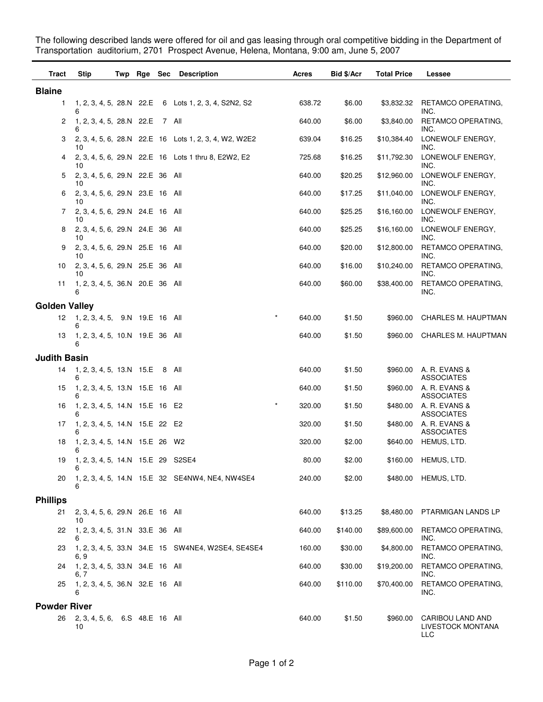The following described lands were offered for oil and gas leasing through oral competitive bidding in the Department of Transportation auditorium, 2701 Prospect Avenue, Helena, Montana, 9:00 am, June 5, 2007

| Tract                | <b>Stip</b>                                |  | Twp Rge Sec Description                               | Acres  | Bid \$/Acr | <b>Total Price</b> | Lessee                                       |
|----------------------|--------------------------------------------|--|-------------------------------------------------------|--------|------------|--------------------|----------------------------------------------|
| <b>Blaine</b>        |                                            |  |                                                       |        |            |                    |                                              |
| 1                    | 6                                          |  | 1, 2, 3, 4, 5, 28.N 22.E 6 Lots 1, 2, 3, 4, S2N2, S2  | 638.72 | \$6.00     | \$3,832.32         | RETAMCO OPERATING,<br>INC.                   |
| 2                    | 1, 2, 3, 4, 5, 28.N 22.E 7 All<br>6        |  |                                                       | 640.00 | \$6.00     | \$3,840.00         | RETAMCO OPERATING,<br>INC.                   |
| 3                    | 10                                         |  | 2, 3, 4, 5, 6, 28.N 22.E 16 Lots 1, 2, 3, 4, W2, W2E2 | 639.04 | \$16.25    | \$10,384.40        | LONEWOLF ENERGY,<br>INC.                     |
| 4                    | 10                                         |  | 2, 3, 4, 5, 6, 29. N 22. E 16 Lots 1 thru 8, E2W2, E2 | 725.68 | \$16.25    | \$11,792.30        | LONEWOLF ENERGY,<br>INC.                     |
| 5                    | 2, 3, 4, 5, 6, 29. N 22. E 36 All<br>10    |  |                                                       | 640.00 | \$20.25    | \$12,960.00        | LONEWOLF ENERGY,<br>INC.                     |
| 6                    | 2, 3, 4, 5, 6, 29.N 23.E 16 All<br>10      |  |                                                       | 640.00 | \$17.25    | \$11,040.00        | LONEWOLF ENERGY,<br>INC.                     |
| 7                    | 2, 3, 4, 5, 6, 29. N 24. E 16 All<br>10    |  |                                                       | 640.00 | \$25.25    | \$16,160.00        | LONEWOLF ENERGY,<br>INC.                     |
| 8                    | 2, 3, 4, 5, 6, 29. N 24. E 36 All<br>10    |  |                                                       | 640.00 | \$25.25    | \$16,160.00        | LONEWOLF ENERGY,<br>INC.                     |
| 9                    | 2, 3, 4, 5, 6, 29. N 25. E 16 All<br>10    |  |                                                       | 640.00 | \$20.00    | \$12,800.00        | RETAMCO OPERATING,<br>INC.                   |
| 10                   | 2, 3, 4, 5, 6, 29. N 25. E 36 All<br>10    |  |                                                       | 640.00 | \$16.00    | \$10,240.00        | RETAMCO OPERATING,<br>INC.                   |
| 11                   | 1, 2, 3, 4, 5, 36.N 20.E 36 All<br>6       |  |                                                       | 640.00 | \$60.00    | \$38,400.00        | RETAMCO OPERATING,<br>INC.                   |
| <b>Golden Valley</b> |                                            |  |                                                       |        |            |                    |                                              |
| 12                   | 1, 2, 3, 4, 5, 9.N 19.E 16 All<br>6        |  | $\star$                                               | 640.00 | \$1.50     | \$960.00           | CHARLES M. HAUPTMAN                          |
| 13                   | 1, 2, 3, 4, 5, 10.N 19.E 36 All<br>6       |  |                                                       | 640.00 | \$1.50     | \$960.00           | CHARLES M. HAUPTMAN                          |
| <b>Judith Basin</b>  |                                            |  |                                                       |        |            |                    |                                              |
| 14                   | 1, 2, 3, 4, 5, 13.N 15.E 8 All<br>6        |  |                                                       | 640.00 | \$1.50     | \$960.00           | A. R. EVANS &<br><b>ASSOCIATES</b>           |
| 15                   | 1, 2, 3, 4, 5, 13.N 15.E 16 All<br>6       |  |                                                       | 640.00 | \$1.50     | \$960.00           | A. R. EVANS &<br><b>ASSOCIATES</b>           |
| 16                   | 1, 2, 3, 4, 5, 14.N 15.E 16 E2<br>6        |  | $\star$                                               | 320.00 | \$1.50     | \$480.00           | A. R. EVANS &<br>ASSOCIATES                  |
| 17                   | 1, 2, 3, 4, 5, 14.N 15.E 22 E2             |  |                                                       | 320.00 | \$1.50     | \$480.00           | A. R. EVANS &<br>ASSOCIATES                  |
| 18                   | 1, 2, 3, 4, 5, 14.N 15.E 26 W2             |  |                                                       | 320.00 | \$2.00     | \$640.00           | HEMUS, LTD.                                  |
| 19                   | 1, 2, 3, 4, 5, 14.N 15.E 29 S2SE4<br>6     |  |                                                       | 80.00  | \$2.00     | \$160.00           | HEMUS, LTD.                                  |
| 20                   | 6                                          |  | 1, 2, 3, 4, 5, 14.N 15.E 32 SE4NW4, NE4, NW4SE4       | 240.00 | \$2.00     | \$480.00           | HEMUS, LTD.                                  |
| <b>Phillips</b>      |                                            |  |                                                       |        |            |                    |                                              |
| 21                   | 2, 3, 4, 5, 6, 29. N 26. E 16 All          |  |                                                       | 640.00 | \$13.25    | \$8,480.00         | PTARMIGAN LANDS LP                           |
| 22                   | 10<br>1, 2, 3, 4, 5, 31.N 33.E 36 All<br>6 |  |                                                       | 640.00 | \$140.00   | \$89,600.00        | RETAMCO OPERATING,<br>INC.                   |
| 23                   | 6, 9                                       |  | 1, 2, 3, 4, 5, 33.N 34.E 15 SW4NE4, W2SE4, SE4SE4     | 160.00 | \$30.00    | \$4,800.00         | RETAMCO OPERATING,<br>INC.                   |
| 24                   | 1, 2, 3, 4, 5, 33.N 34.E 16 All<br>6. 7    |  |                                                       | 640.00 | \$30.00    | \$19,200.00        | RETAMCO OPERATING,<br>INC.                   |
| 25                   | 1, 2, 3, 4, 5, 36.N 32.E 16 All<br>6       |  |                                                       | 640.00 | \$110.00   | \$70,400.00        | RETAMCO OPERATING,<br>INC.                   |
| <b>Powder River</b>  |                                            |  |                                                       |        |            |                    |                                              |
| 26                   | 2, 3, 4, 5, 6, 6.S 48.E 16 All<br>10       |  |                                                       | 640.00 | \$1.50     | \$960.00           | CARIBOU LAND AND<br>LIVESTOCK MONTANA<br>LLC |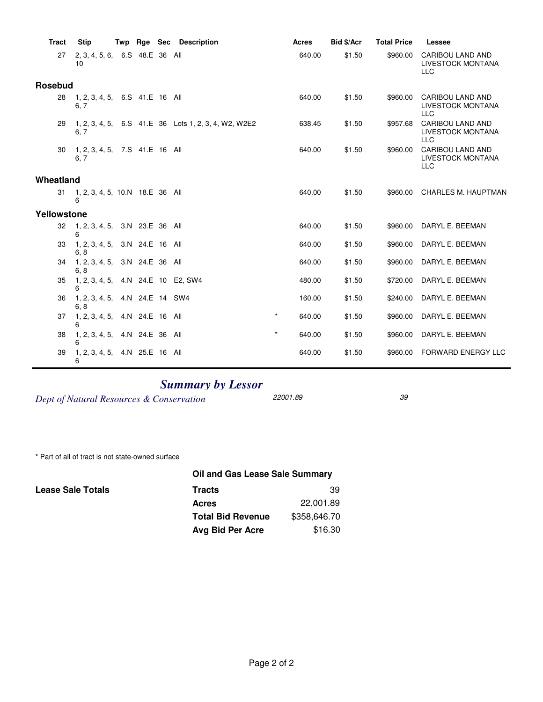| <b>Tract</b> | <b>Stip</b>                            | Twp | Rge             | <b>Sec</b> | <b>Description</b>                                   |         | <b>Acres</b> | <b>Bid \$/Acr</b> | <b>Total Price</b> | Lessee                                                     |
|--------------|----------------------------------------|-----|-----------------|------------|------------------------------------------------------|---------|--------------|-------------------|--------------------|------------------------------------------------------------|
| 27           | 2, 3, 4, 5, 6, 6.S 48.E 36 All<br>10   |     |                 |            |                                                      |         | 640.00       | \$1.50            | \$960.00           | <b>CARIBOU LAND AND</b><br>LIVESTOCK MONTANA<br><b>LLC</b> |
| Rosebud      |                                        |     |                 |            |                                                      |         |              |                   |                    |                                                            |
| 28           | 1, 2, 3, 4, 5, 6.S 41.E 16 All<br>6, 7 |     |                 |            |                                                      |         | 640.00       | \$1.50            | \$960.00           | CARIBOU LAND AND<br><b>LIVESTOCK MONTANA</b><br><b>LLC</b> |
| 29           | 6, 7                                   |     |                 |            | 1, 2, 3, 4, 5, 6.S 41.E 36 Lots 1, 2, 3, 4, W2, W2E2 |         | 638.45       | \$1.50            | \$957.68           | CARIBOU LAND AND<br>LIVESTOCK MONTANA<br><b>LLC</b>        |
| 30           | 1, 2, 3, 4, 5, 7.S 41.E 16 All<br>6, 7 |     |                 |            |                                                      |         | 640.00       | \$1.50            | \$960.00           | CARIBOU LAND AND<br><b>LIVESTOCK MONTANA</b><br><b>LLC</b> |
| Wheatland    |                                        |     |                 |            |                                                      |         |              |                   |                    |                                                            |
| 31           | 1, 2, 3, 4, 5, 10.N 18.E 36 All<br>6   |     |                 |            |                                                      |         | 640.00       | \$1.50            | \$960.00           | <b>CHARLES M. HAUPTMAN</b>                                 |
| Yellowstone  |                                        |     |                 |            |                                                      |         |              |                   |                    |                                                            |
| 32           | 1, 2, 3, 4, 5, 3.N 23.E 36 All<br>6    |     |                 |            |                                                      |         | 640.00       | \$1.50            | \$960.00           | DARYL E. BEEMAN                                            |
| 33           | 1, 2, 3, 4, 5,<br>6, 8                 |     | 3.N 24.E 16 All |            |                                                      |         | 640.00       | \$1.50            | \$960.00           | DARYL E. BEEMAN                                            |
| 34           | 1, 2, 3, 4, 5, 3.N 24.E 36 All<br>6, 8 |     |                 |            |                                                      |         | 640.00       | \$1.50            | \$960.00           | DARYL E. BEEMAN                                            |
| 35           | 1, 2, 3, 4, 5,<br>6                    |     |                 |            | 4.N 24.E 10 E2, SW4                                  |         | 480.00       | \$1.50            | \$720.00           | DARYL E. BEEMAN                                            |
| 36           | 1, 2, 3, 4, 5,<br>6, 8                 |     | 4.N 24.E 14 SW4 |            |                                                      |         | 160.00       | \$1.50            | \$240.00           | DARYL E. BEEMAN                                            |
| 37           | 1, 2, 3, 4, 5,<br>6                    |     | 4.N 24.E 16 All |            |                                                      | $\star$ | 640.00       | \$1.50            | \$960.00           | DARYL E. BEEMAN                                            |
| 38           | 1, 2, 3, 4, 5.<br>6                    |     | 4.N 24.E 36 All |            |                                                      | $\star$ | 640.00       | \$1.50            | \$960.00           | DARYL E. BEEMAN                                            |
| 39           | 1, 2, 3, 4, 5,<br>6                    |     | 4.N 25.E 16 All |            |                                                      |         | 640.00       | \$1.50            | \$960.00           | <b>FORWARD ENERGY LLC</b>                                  |

# *Summary by Lessor*

*Dept of Natural Resources & Conservation* 22001.89 39

\* Part of all of tract is not state-owned surface

#### **Lease Sale Totals**

### **Oil and Gas Lease Sale Summary**

| Tracts                   | 39           |
|--------------------------|--------------|
| Acres                    | 22,001.89    |
| <b>Total Bid Revenue</b> | \$358,646.70 |
| Avg Bid Per Acre         | \$16.30      |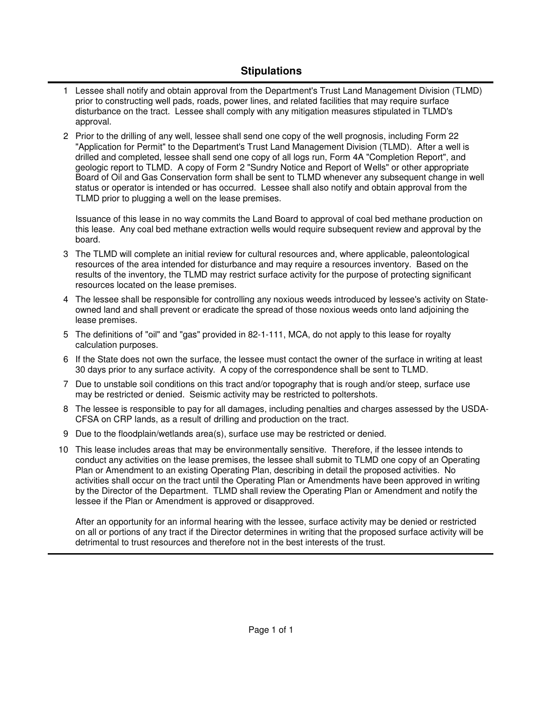## **Stipulations**

- 1 Lessee shall notify and obtain approval from the Department's Trust Land Management Division (TLMD) prior to constructing well pads, roads, power lines, and related facilities that may require surface disturbance on the tract. Lessee shall comply with any mitigation measures stipulated in TLMD's approval.
- 2 Prior to the drilling of any well, lessee shall send one copy of the well prognosis, including Form 22 "Application for Permit" to the Department's Trust Land Management Division (TLMD). After a well is drilled and completed, lessee shall send one copy of all logs run, Form 4A "Completion Report", and geologic report to TLMD. A copy of Form 2 "Sundry Notice and Report of Wells" or other appropriate Board of Oil and Gas Conservation form shall be sent to TLMD whenever any subsequent change in well status or operator is intended or has occurred. Lessee shall also notify and obtain approval from the TLMD prior to plugging a well on the lease premises.

Issuance of this lease in no way commits the Land Board to approval of coal bed methane production on this lease. Any coal bed methane extraction wells would require subsequent review and approval by the board.

- The TLMD will complete an initial review for cultural resources and, where applicable, paleontological 3 resources of the area intended for disturbance and may require a resources inventory. Based on the results of the inventory, the TLMD may restrict surface activity for the purpose of protecting significant resources located on the lease premises.
- The lessee shall be responsible for controlling any noxious weeds introduced by lessee's activity on State-4 owned land and shall prevent or eradicate the spread of those noxious weeds onto land adjoining the lease premises.
- 5 The definitions of "oil" and "gas" provided in 82-1-111, MCA, do not apply to this lease for royalty calculation purposes.
- 6 If the State does not own the surface, the lessee must contact the owner of the surface in writing at least 30 days prior to any surface activity. A copy of the correspondence shall be sent to TLMD.
- 7 Due to unstable soil conditions on this tract and/or topography that is rough and/or steep, surface use may be restricted or denied. Seismic activity may be restricted to poltershots.
- 8 The lessee is responsible to pay for all damages, including penalties and charges assessed by the USDA-CFSA on CRP lands, as a result of drilling and production on the tract.
- 9 Due to the floodplain/wetlands area(s), surface use may be restricted or denied.
- This lease includes areas that may be environmentally sensitive. Therefore, if the lessee intends to 10 conduct any activities on the lease premises, the lessee shall submit to TLMD one copy of an Operating Plan or Amendment to an existing Operating Plan, describing in detail the proposed activities. No activities shall occur on the tract until the Operating Plan or Amendments have been approved in writing by the Director of the Department. TLMD shall review the Operating Plan or Amendment and notify the lessee if the Plan or Amendment is approved or disapproved.

After an opportunity for an informal hearing with the lessee, surface activity may be denied or restricted on all or portions of any tract if the Director determines in writing that the proposed surface activity will be detrimental to trust resources and therefore not in the best interests of the trust.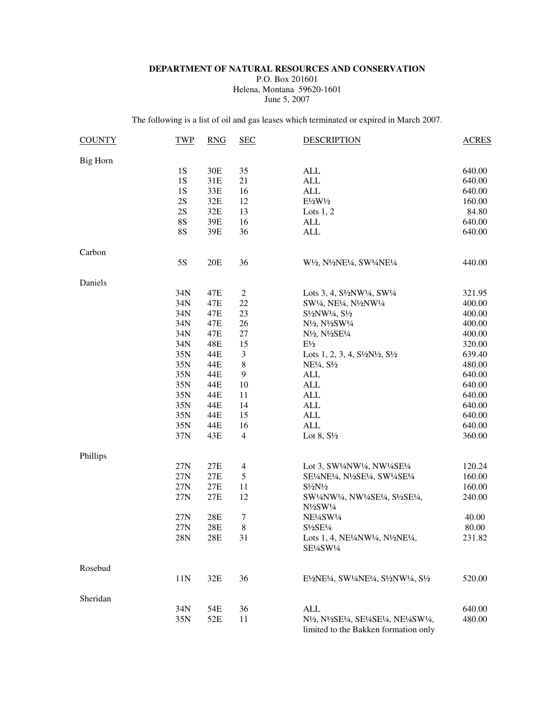#### **DEPARTMENT OF NATURAL RESOURCES AND CONSERVATION**

P.O. Box 201601 Helena, Montana 59620-1601 June 5, 2007

The following is a list of oil and gas leases which terminated or expired in March 2007.

| <b>COUNTY</b> | <b>TWP</b> | <b>RNG</b> | <b>SEC</b>       | <b>DESCRIPTION</b>                                                                                                                                                          | <b>ACRES</b> |
|---------------|------------|------------|------------------|-----------------------------------------------------------------------------------------------------------------------------------------------------------------------------|--------------|
| Big Horn      |            |            |                  |                                                                                                                                                                             |              |
|               | <b>1S</b>  | 30E        | 35               | <b>ALL</b>                                                                                                                                                                  | 640.00       |
|               | <b>1S</b>  | 31E        | 21               | <b>ALL</b>                                                                                                                                                                  | 640.00       |
|               | <b>1S</b>  | 33E        | 16               | <b>ALL</b>                                                                                                                                                                  | 640.00       |
|               | 2S         | 32E        | 12               | $E\frac{1}{2}W\frac{1}{2}$                                                                                                                                                  | 160.00       |
|               | 2S         | 32E        | 13               | Lots $1, 2$                                                                                                                                                                 | 84.80        |
|               | <b>8S</b>  | 39E        | 16               | ALL                                                                                                                                                                         | 640.00       |
|               | <b>8S</b>  | 39E        | 36               | <b>ALL</b>                                                                                                                                                                  | 640.00       |
| Carbon        |            |            |                  |                                                                                                                                                                             |              |
|               | 5S         | 20E        | 36               | W <sup>1</sup> /2, N <sup>1</sup> /2NE <sup>1</sup> /4, SW <sup>1</sup> /4NE <sup>1</sup> /4                                                                                | 440.00       |
| Daniels       |            |            |                  |                                                                                                                                                                             |              |
|               | 34N        | 47E        | $\boldsymbol{2}$ | Lots 3, 4, S <sup>1</sup> / <sub>2</sub> NW <sup>1</sup> / <sub>4</sub> , SW <sup>1</sup> / <sub>4</sub>                                                                    | 321.95       |
|               | 34N        | 47E        | 22               | SW1/4, NE1/4, N1/2NW1/4                                                                                                                                                     | 400.00       |
|               | 34N        | 47E        | 23               | $S\frac{1}{2}NW\frac{1}{4}$ , $S\frac{1}{2}$                                                                                                                                | 400.00       |
|               | 34N        | 47E        | 26               | N <sup>1</sup> / <sub>2</sub> , N <sup>1</sup> / <sub>2</sub> SW <sup>1</sup> / <sub>4</sub>                                                                                | 400.00       |
|               | 34N        | 47E        | 27               | N <sup>1</sup> / <sub>2</sub> , N <sup>1</sup> / <sub>2</sub> SE <sup>1</sup> / <sub>4</sub>                                                                                | 400.00       |
|               | 34N        | 48E        | 15               | $E\frac{1}{2}$                                                                                                                                                              | 320.00       |
|               | 35N        | 44E        | 3                | Lots 1, 2, 3, 4, $S\frac{1}{2}N\frac{1}{2}$ , $S\frac{1}{2}$                                                                                                                | 639.40       |
|               | 35N        | 44E        | $\,$ 8 $\,$      | $NE1/4, S1/2$                                                                                                                                                               | 480.00       |
|               | 35N        | 44E        | $\boldsymbol{9}$ | <b>ALL</b>                                                                                                                                                                  | 640.00       |
|               | 35N        | 44E        | 10               | <b>ALL</b>                                                                                                                                                                  | 640.00       |
|               | 35N        | 44E        | 11               | <b>ALL</b>                                                                                                                                                                  | 640.00       |
|               | 35N        | 44E        | 14               | <b>ALL</b>                                                                                                                                                                  | 640.00       |
|               | 35N        | 44E        | 15               | <b>ALL</b>                                                                                                                                                                  | 640.00       |
|               | 35N        | 44E        | 16               | <b>ALL</b>                                                                                                                                                                  | 640.00       |
|               | 37N        | 43E        | $\overline{4}$   | Lot 8, $S\frac{1}{2}$                                                                                                                                                       | 360.00       |
| Phillips      |            |            |                  |                                                                                                                                                                             |              |
|               | 27N        | 27E        | $\overline{4}$   | Lot 3, SW <sup>1</sup> / <sub>4</sub> NW <sup>1</sup> / <sub>4</sub> , NW <sup>1</sup> / <sub>4</sub> SE <sup>1</sup> / <sub>4</sub>                                        | 120.24       |
|               | 27N        | 27E        | 5                | SE½NE½, N½SE½, SW½SE½                                                                                                                                                       | 160.00       |
|               | 27N        | 27E        | 11               | $S\frac{1}{2}N\frac{1}{2}$                                                                                                                                                  | 160.00       |
|               | 27N        | $27E$      | 12               | SW1/4NW1/4, NW1/4SE1/4, S1/2SE1/4,<br>$N\frac{1}{2}SW\frac{1}{4}$                                                                                                           | 240.00       |
|               | 27N        | $28E$      | 7                | NE½SW1/4                                                                                                                                                                    | 40.00        |
|               | 27N        | 28E        | 8                | S1/2SE1/4                                                                                                                                                                   | 80.00        |
|               | 28N        | 28E        | 31               | Lots 1, 4, NE <sup>1</sup> / <sub>4</sub> NW <sup>1</sup> / <sub>4</sub> , N <sup>1</sup> / <sub>2</sub> NE <sup>1</sup> / <sub>4</sub> ,<br>SE¼SW¼                         | 231.82       |
| Rosebud       |            |            |                  |                                                                                                                                                                             |              |
|               | 11N        | 32E        | 36               | E½NE¼, SW1/4NE1/4, S1/2NW1/4, S1/2                                                                                                                                          | 520.00       |
| Sheridan      |            |            |                  |                                                                                                                                                                             |              |
|               | 34N        | 54E        | 36               | <b>ALL</b>                                                                                                                                                                  | 640.00       |
|               | 35N        | 52E        | 11               | N <sup>1</sup> /2, N <sup>1</sup> /2SE <sup>1</sup> /4, SE <sup>1</sup> /4SE <sup>1</sup> /4, NE <sup>1</sup> /4SW <sup>1</sup> /4,<br>limited to the Bakken formation only | 480.00       |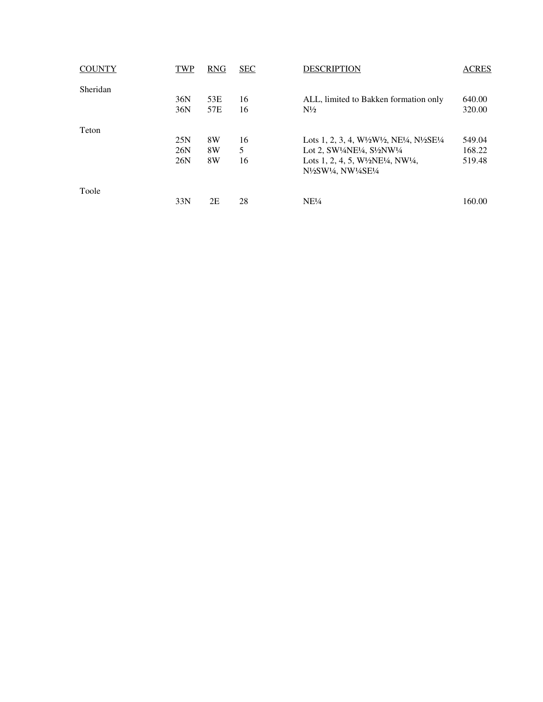| <b>COUNTY</b> | TWP | <b>RNG</b> | <b>SEC</b> | <b>DESCRIPTION</b>                                                                                         | <b>ACRES</b> |
|---------------|-----|------------|------------|------------------------------------------------------------------------------------------------------------|--------------|
| Sheridan      |     |            |            |                                                                                                            |              |
|               | 36N | 53E        | 16         | ALL, limited to Bakken formation only                                                                      | 640.00       |
|               | 36N | 57E        | 16         | $N\frac{1}{2}$                                                                                             | 320.00       |
| Teton         |     |            |            |                                                                                                            |              |
|               | 25N | 8W         | 16         | Lots 1, 2, 3, 4, W $\frac{1}{2}W\frac{1}{2}W\frac{1}{2}$ , NE $\frac{1}{4}$ , N $\frac{1}{2}SE\frac{1}{4}$ | 549.04       |
|               | 26N | 8W         | 5          | Lot 2, SW <sup>1</sup> /4NE <sup>1</sup> /4, S <sup>1</sup> /2NW <sup>1</sup> /4                           | 168.22       |
|               | 26N | 8W         | 16         | Lots 1, 2, 4, 5, $W\frac{1}{2}NE\frac{1}{4}$ , $NW\frac{1}{4}$ ,                                           | 519.48       |
|               |     |            |            | N½SW¼, NW¼SE¼                                                                                              |              |
| Toole         |     |            |            |                                                                                                            |              |
|               | 33N | 2E         | 28         | NE <sup>1</sup> / <sub>4</sub>                                                                             | 160.00       |
|               |     |            |            |                                                                                                            |              |